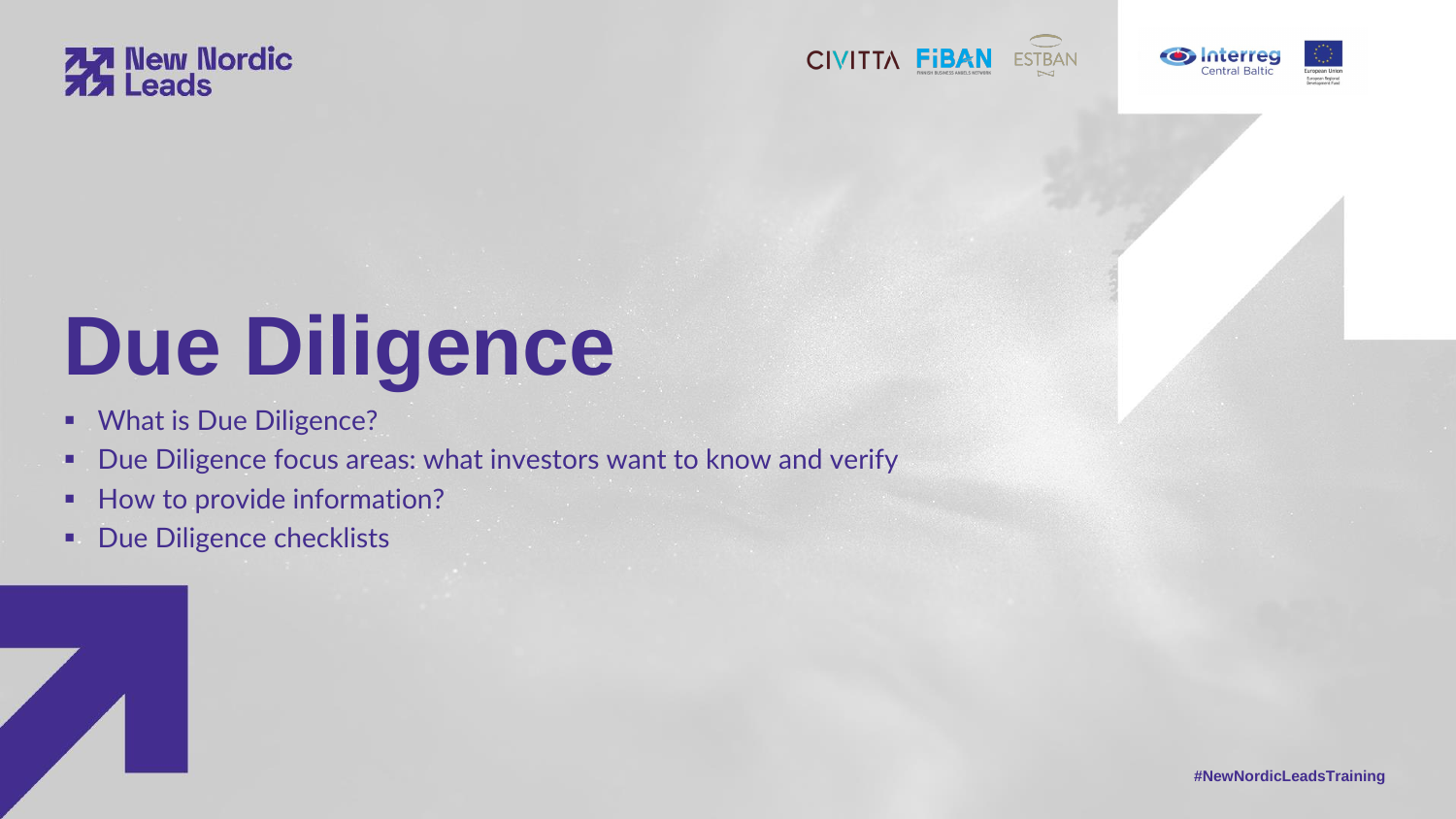

# **Due Diligence**

- What is Due Diligence?
- Due Diligence focus areas: what investors want to know and verify
- How to provide information?
- **■** Due Diligence checklists











**#NewNordicLeadsTraining**

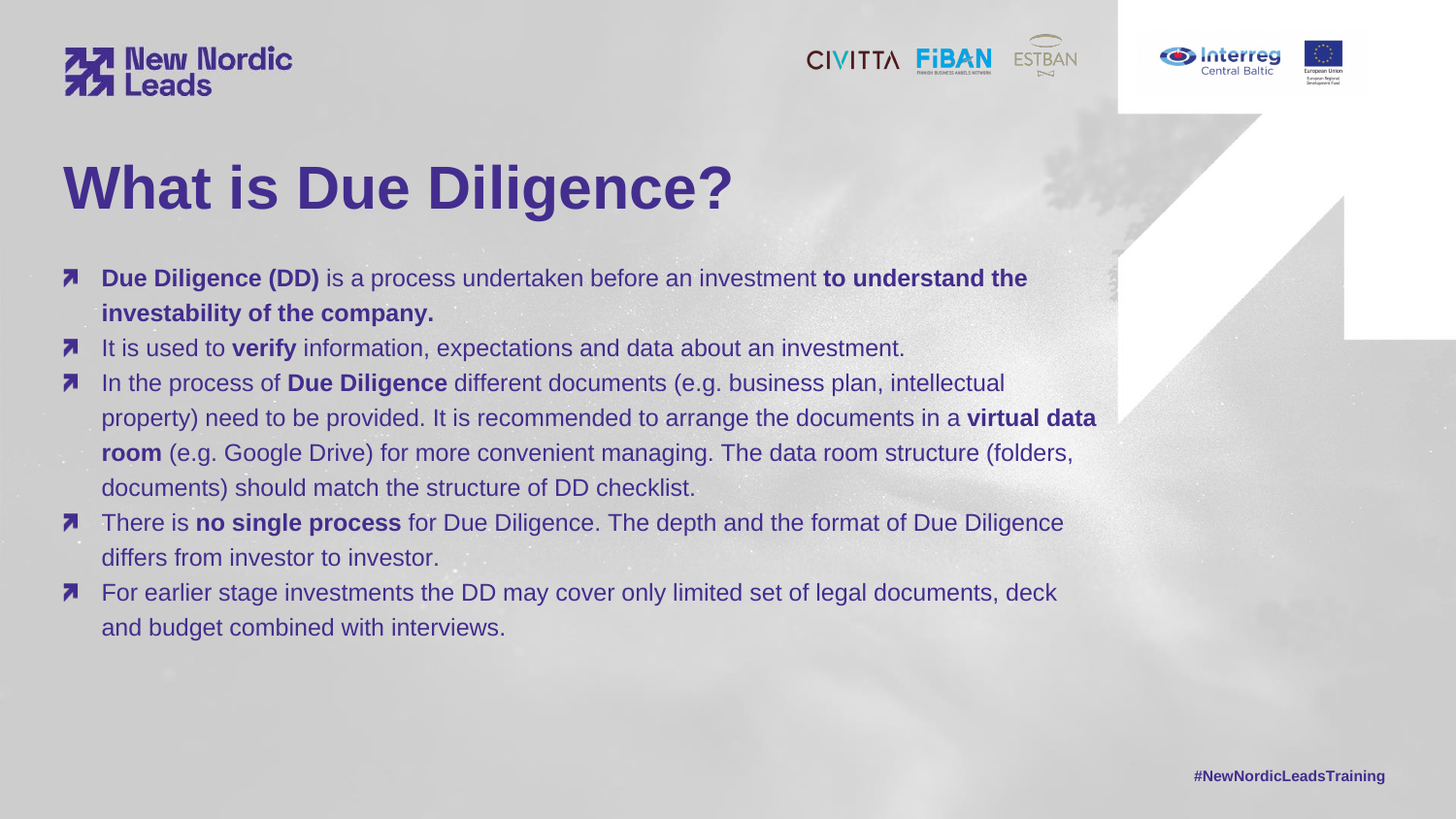- **Due Diligence (DD)** is a process undertaken before an investment **to understand the**  Ζ **investability of the company.**
- It is used to **verify** information, expectations and data about an investment.  $\overline{\phantom{a}}$
- In the process of **Due Diligence** different documents (e.g. business plan, intellectual 71 property) need to be provided. It is recommended to arrange the documents in a **virtual data room** (e.g. Google Drive) for more convenient managing. The data room structure (folders, documents) should match the structure of DD checklist.
- There is **no single process** for Due Diligence. The depth and the format of Due Diligence differs from investor to investor.
- For earlier stage investments the DD may cover only limited set of legal documents, deck 71 and budget combined with interviews.









## **77 New Nordic<br>77 Leads**

# **What is Due Diligence?**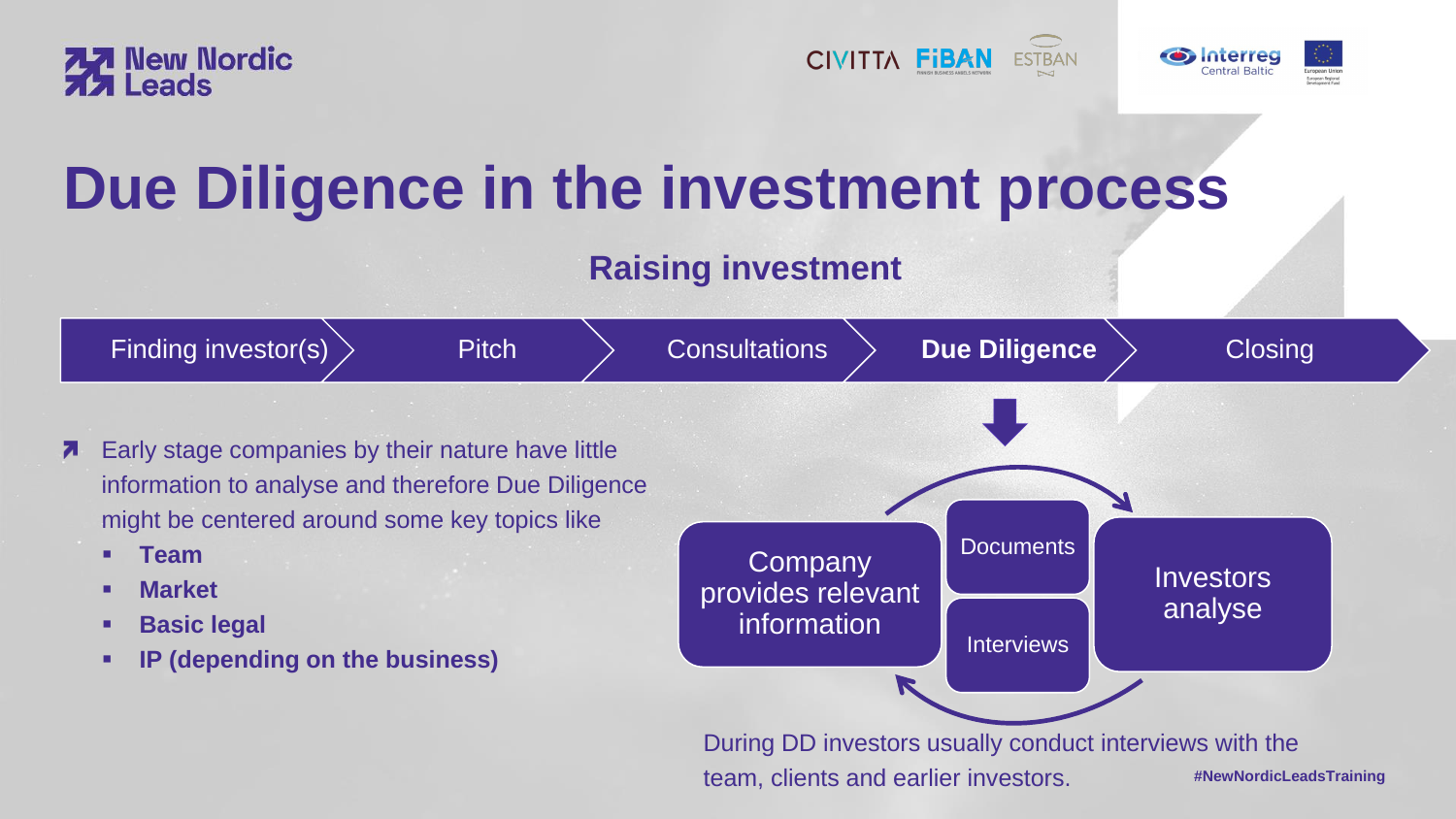**#NewNordicLeadsTraining**





# **Due Diligence in the investment process**

## **Raising investment**

- 
- Early stage companies by their nature have little 71 information to analyse and therefore Due Diligence might be centered around some key topics like
	- **Team**
	- **Market**
	- **Basic legal**
	- **IP (depending on the business)**









team, clients and earlier investors.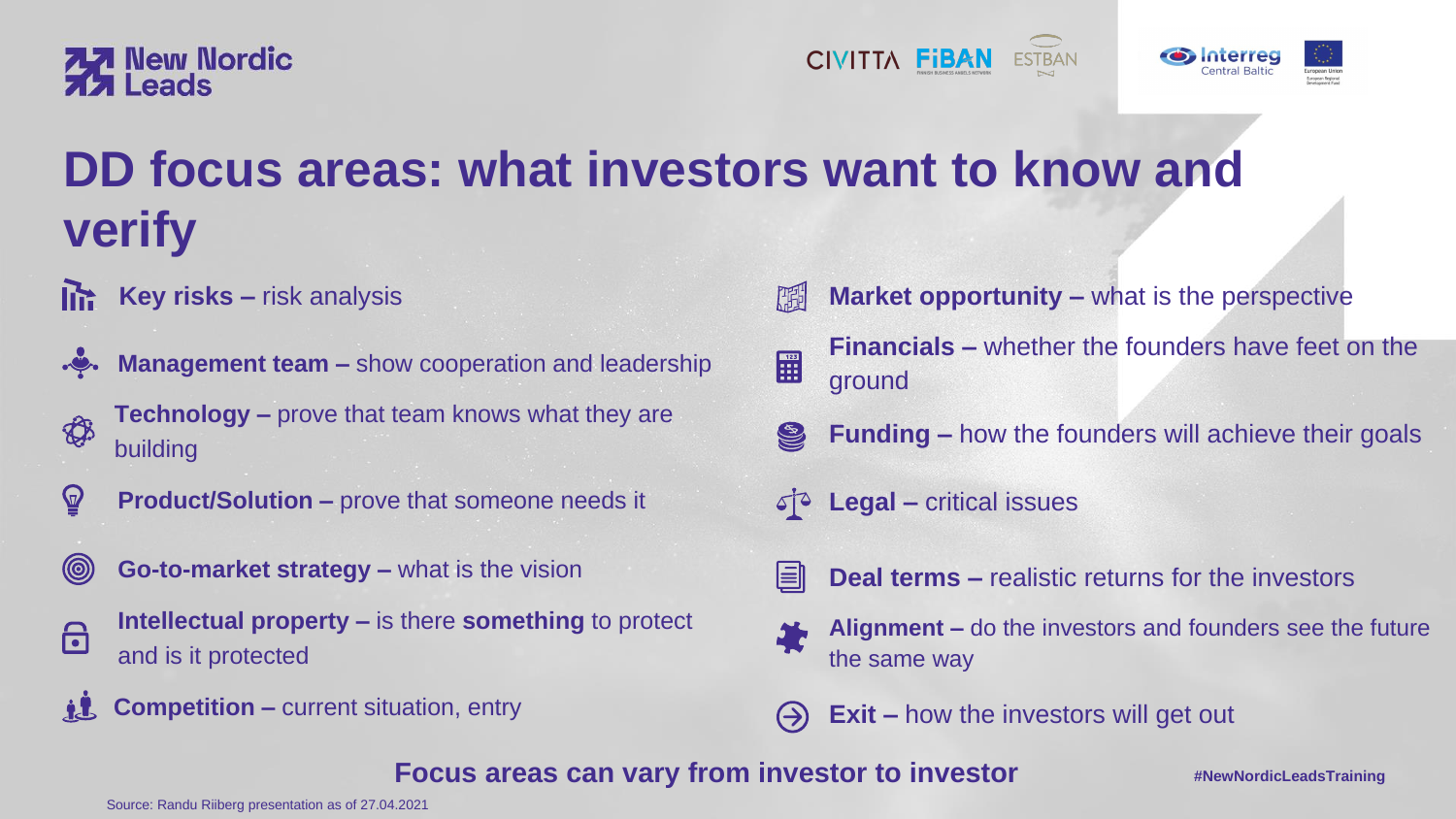**Key risks –** risk analysis



都

**#NewNordicLeadsTraining**







## **DD focus areas: what investors want to know and verify**



- **Market opportunity –** what is the perspective 雕
	- **Financials –** whether the founders have feet on the ground
- **Funding –** how the founders will achieve their goals S
- **Legal –** critical issues  $50^{\circ}$
- E

 $\begin{array}{|c|c|}\n\hline\n123 \\
\hline\n\end{array}$ 

- **Management team –** show cooperation and leadership
- **Technology –** prove that team knows what they are building
- $\mathbf{P}$ **Product/Solution –** prove that someone needs it
- $\circledcirc$ **Go-to-market strategy –** what is the vision



**Intellectual property –** is there **something** to protect and is it protected

- **Alignment –** do the investors and founders see the future the same way
- **Exit –** how the investors will get out
- **Focus areas can vary from investor to investor**



**Deal terms –** realistic returns for the investors



Source: Randu Riiberg presentation as of 27.04.2021





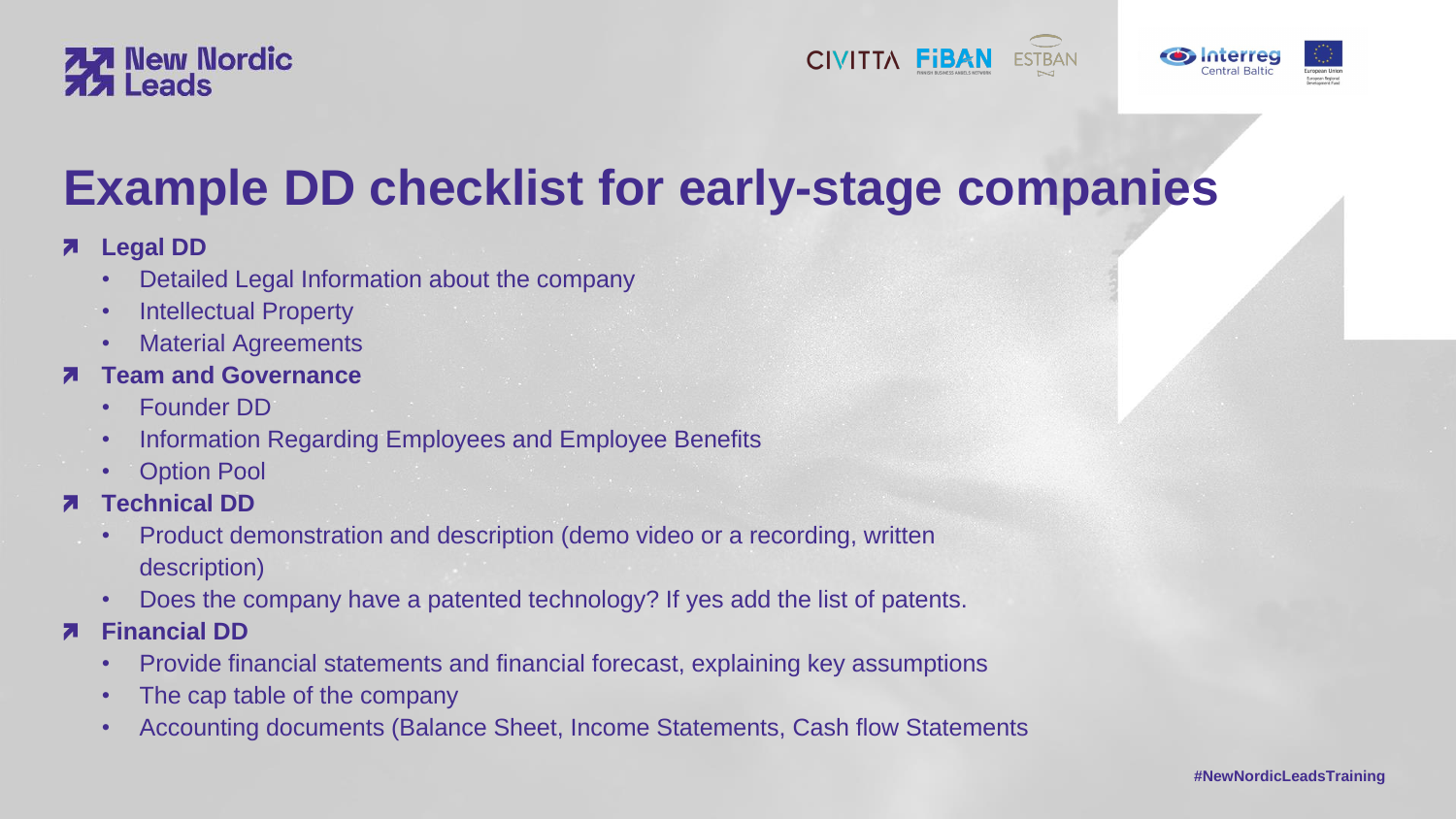### $\overline{\phantom{a}}$ **Legal DD**

- Detailed Legal Information about the company
- Intellectual Property
- Material Agreements

### **Team and Governance**

- Founder DD
- Information Regarding Employees and Employee Benefits
- Option Pool
- **Technical DD**
	- Product demonstration and description (demo video or a recording, written description)
	- Does the company have a patented technology? If yes add the list of patents.
- **Financial DD**
	- Provide financial statements and financial forecast, explaining key assumptions
	- The cap table of the company
	- Accounting documents (Balance Sheet, Income Statements, Cash flow Statements







**#NewNordicLeadsTraining**



## **77** New Nordic

## **Example DD checklist for early-stage companies**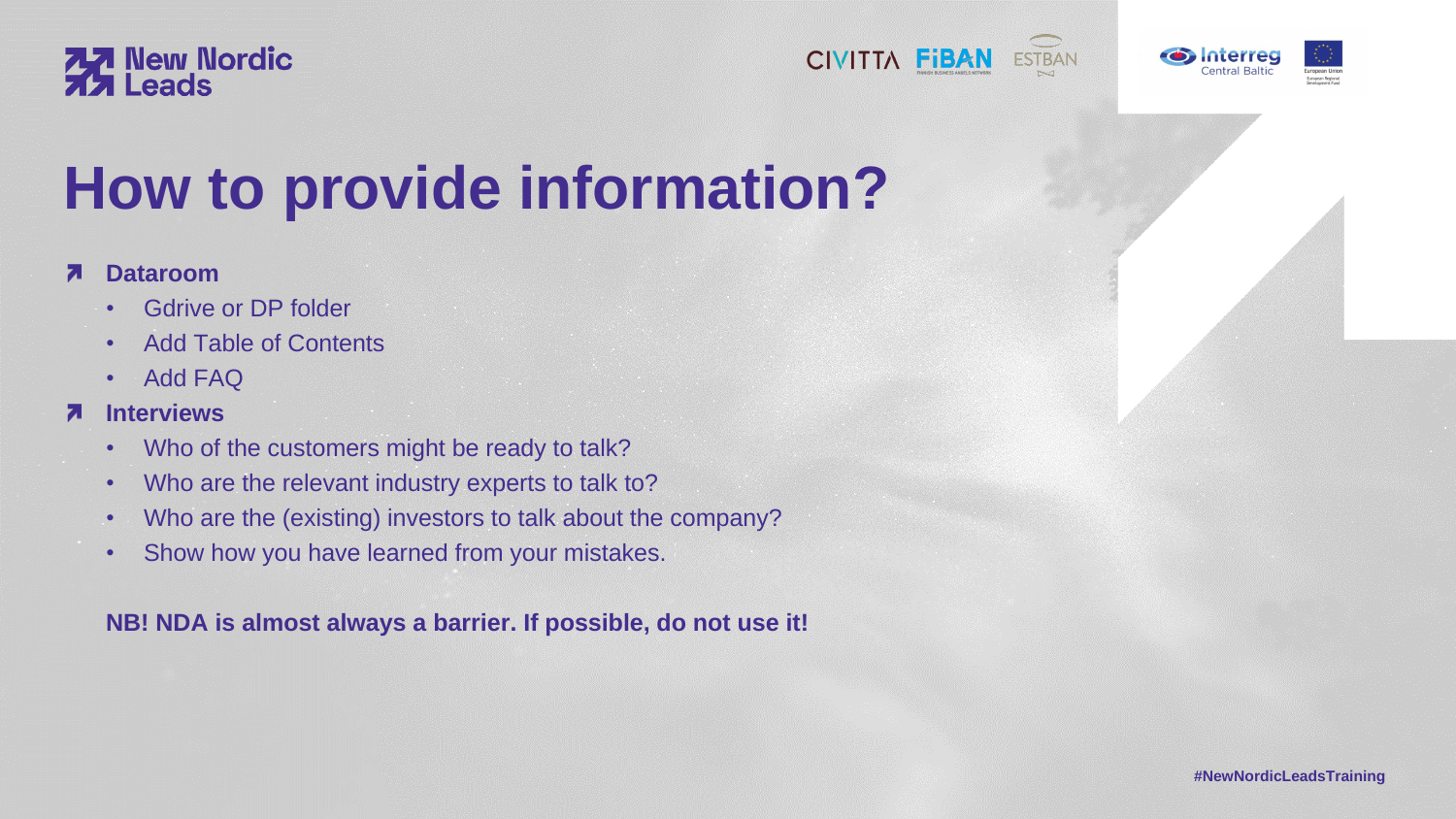### **Interviews**  $\bf{z}$

- Gdrive or DP folder
- Add Table of Contents
- Add FAQ

- Who of the customers might be ready to talk?
- Who are the relevant industry experts to talk to?
- Who are the (existing) investors to talk about the company?
- Show how you have learned from your mistakes.

**NB! NDA is almost always a barrier. If possible, do not use it!**









**#NewNordicLeadsTraining**



## **77 New Nordic<br>77 Leads**

# **How to provide information?**

### **Dataroom** 7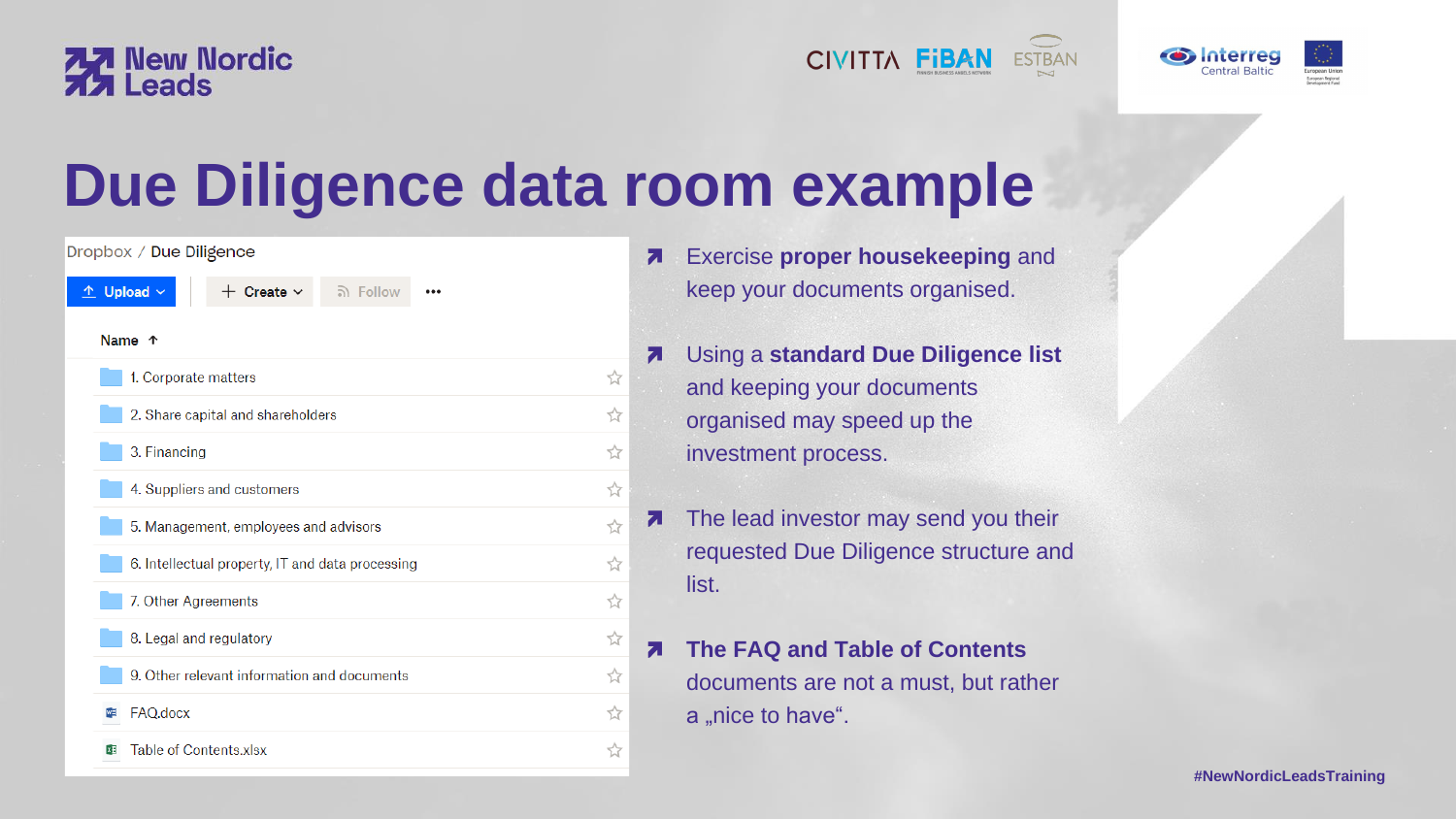



# **Due Diligence data room example**

| Dropbox / Due Diligence                                                                    |   |
|--------------------------------------------------------------------------------------------|---|
| $\hat{v}$ Upload $\sim$<br>$+$ Create $\sim$<br><u>බ</u> Follow<br>$\bullet\bullet\bullet$ |   |
| Name <sup>T</sup>                                                                          |   |
| 1. Corporate matters                                                                       | ☆ |
| 2. Share capital and shareholders                                                          | ☆ |
| 3. Financing                                                                               | ☆ |
| 4. Suppliers and customers                                                                 | ☆ |
| 5. Management, employees and advisors                                                      | ☆ |
| 6. Intellectual property, IT and data processing                                           | ☆ |
| 7. Other Agreements                                                                        | ☆ |
| 8. Legal and regulatory                                                                    | ☆ |
| 9. Other relevant information and documents                                                | ☆ |
| FAQ.docx<br>w≣                                                                             | ☆ |
| Table of Contents.xlsx<br>x目                                                               | ☆ |
|                                                                                            |   |







Exercise **proper housekeeping** and keep your documents organised.

The lead investor may send you their requested Due Diligence structure and list.

**The FAQ and Table of Contents** documents are not a must, but rather a "nice to have".

Using a **standard Due Diligence list**  and keeping your documents organised may speed up the investment process.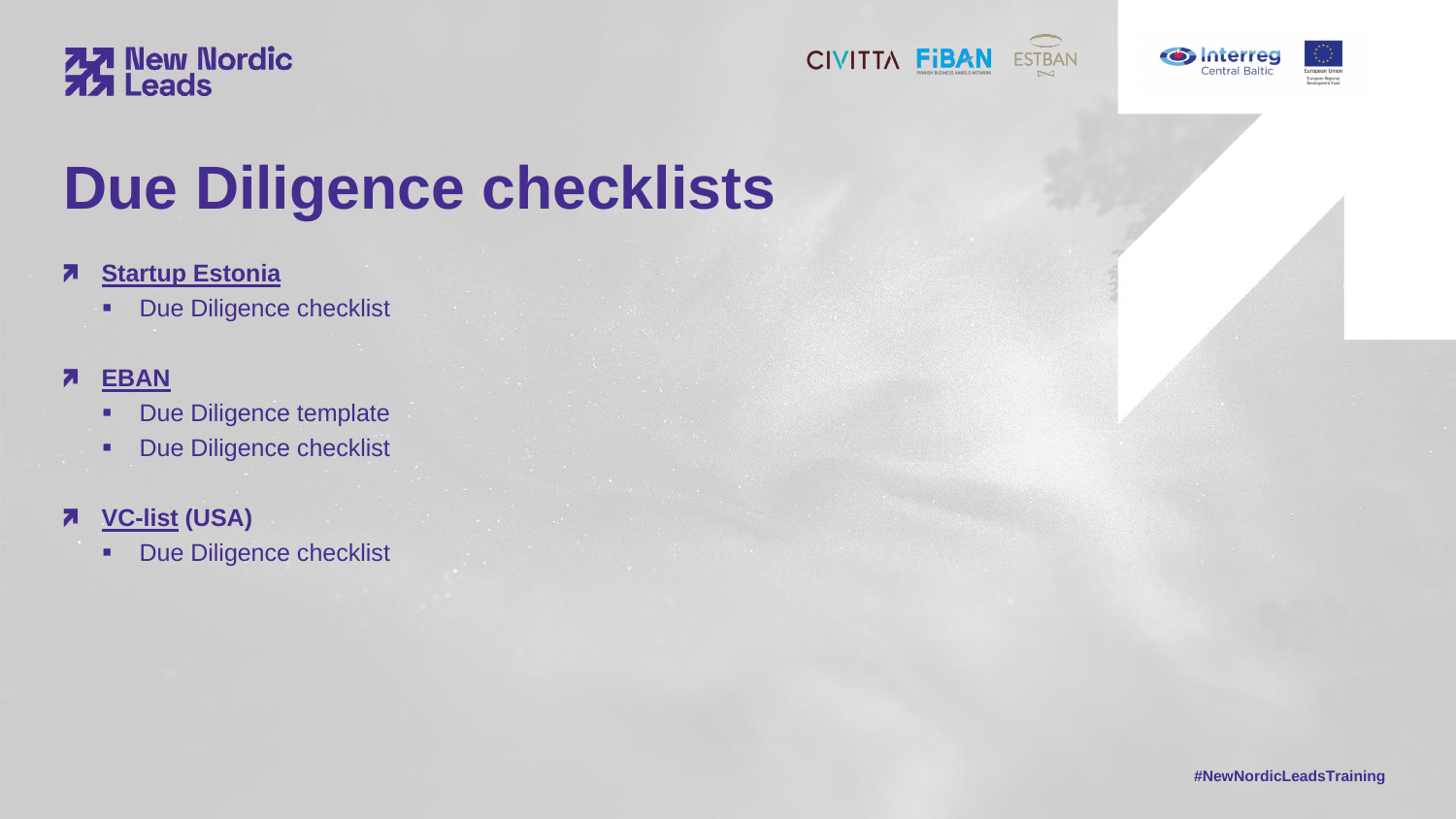### **[EBAN](https://www.eban.org/due-diligence-guidelines-and-template-document/)** 7

- Due Diligence template
- Due Diligence checklist

### **[VC-list](https://vc-list.com/startup-investment-due-diligence-checklist/) (USA)** 7

**• Due Diligence checklist** 









**#NewNordicLeadsTraining**





# **Due Diligence checklists**

### **[Startup Estonia](https://startupestonia.ee/resources)**  $\overline{\phantom{a}}$

**■ Due Diligence checklist**